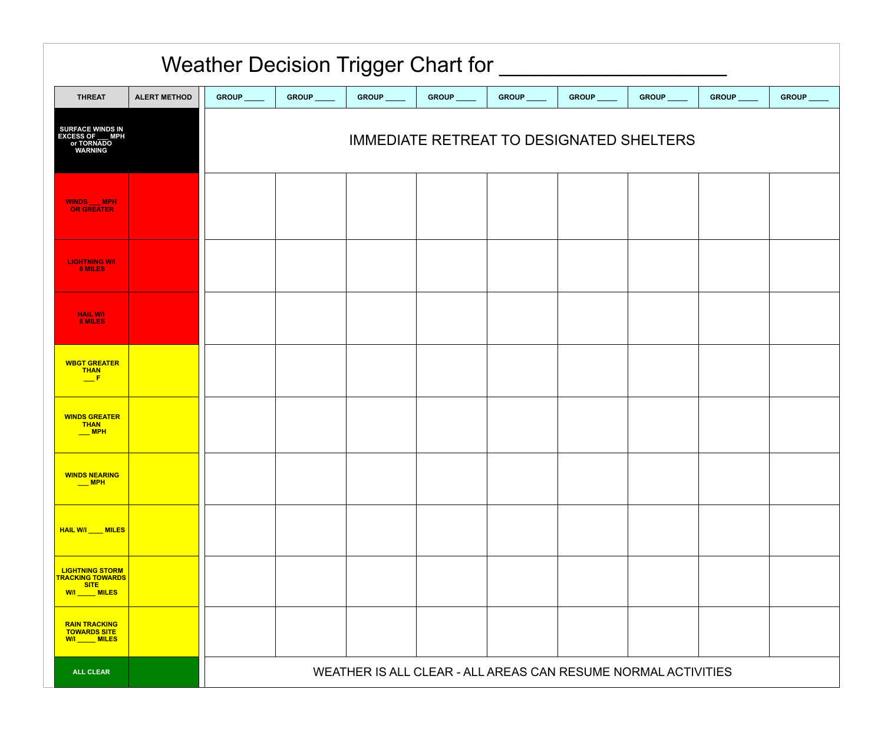| <b>Weather Decision Trigger Chart for</b>                                           |                     |                                                               |             |             |             |             |             |             |             |            |  |
|-------------------------------------------------------------------------------------|---------------------|---------------------------------------------------------------|-------------|-------------|-------------|-------------|-------------|-------------|-------------|------------|--|
| <b>THREAT</b>                                                                       | <b>ALERT METHOD</b> | GROUP ____                                                    | GROUP _____ | GROUP _____ | GROUP _____ | GROUP _____ | GROUP _____ | GROUP _____ | GROUP _____ | GROUP ____ |  |
| <b>SURFACE WINDS IN</b><br><b>EXCESS OF __ MPH</b><br>or TORNADO<br><b>WARNING</b>  |                     | <b>IMMEDIATE RETREAT TO DESIGNATED SHELTERS</b>               |             |             |             |             |             |             |             |            |  |
| <b>WINDS MPH</b><br>OR GREATER                                                      |                     |                                                               |             |             |             |             |             |             |             |            |  |
| <b>LIGHTNING W/I</b><br>8 MILES                                                     |                     |                                                               |             |             |             |             |             |             |             |            |  |
| <b>HAIL W/I</b><br>8 MILES                                                          |                     |                                                               |             |             |             |             |             |             |             |            |  |
| <b>WBGT GREATER</b><br><b>THAN</b><br>$\mathbf{F}$                                  |                     |                                                               |             |             |             |             |             |             |             |            |  |
| <b>WINDS GREATER</b><br><b>THAN</b><br>$\sqrt{\phantom{a}}$ MPH                     |                     |                                                               |             |             |             |             |             |             |             |            |  |
| <b>WINDS NEARING</b>                                                                |                     |                                                               |             |             |             |             |             |             |             |            |  |
| HAIL W/I ____ MILES                                                                 |                     |                                                               |             |             |             |             |             |             |             |            |  |
| <b>LIGHTNING STORM</b><br><b>TRACKING TOWARDS</b><br><b>SITE</b><br>W/I _____ MILES |                     |                                                               |             |             |             |             |             |             |             |            |  |
| <b>RAIN TRACKING</b><br><b>TOWARDS SITE</b><br>W/I _____ MILES                      |                     |                                                               |             |             |             |             |             |             |             |            |  |
| <b>ALL CLEAR</b>                                                                    |                     | WEATHER IS ALL CLEAR - ALL AREAS CAN RESUME NORMAL ACTIVITIES |             |             |             |             |             |             |             |            |  |